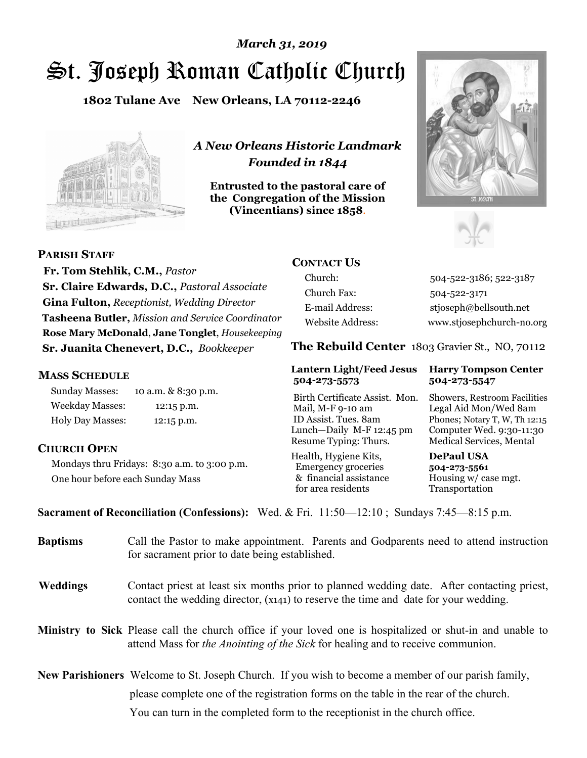# St. Joseph Roman Catholic Church *March 31, 2019*

**1802 Tulane Ave New Orleans, LA 70112-2246**



*A New Orleans Historic Landmark Founded in 1844* 

**Entrusted to the pastoral care of the Congregation of the Mission (Vincentians) since 1858**.





**PARISH STAFF**

 **Fr. Tom Stehlik, C.M.,** *Pastor* **Sr. Claire Edwards, D.C.,** *Pastoral Associate* **Gina Fulton,** *Receptionist, Wedding Director* **Tasheena Butler,** *Mission and Service Coordinator* **Rose Mary McDonald**, **Jane Tonglet**, *Housekeeping* **Sr. Juanita Chenevert, D.C.,** *Bookkeeper* 

#### **MASS SCHEDULE**

Sunday Masses: 10 a.m. & 8:30 p.m. Weekday Masses: 12:15 p.m. Holy Day Masses: 12:15 p.m.

#### **CHURCH OPEN**

Mondays thru Fridays: 8:30 a.m. to 3:00 p.m. One hour before each Sunday Mass

# **CONTACT US**

Church: 504-522-3186; 522-3187 Church Fax: 504-522-3171 E-mail Address: stjoseph@bellsouth.net Website Address: www.stjosephchurch-no.org

**The Rebuild Center** 1803 Gravier St., NO, 70112

#### **Lantern Light/Feed Jesus Harry Tompson Center 504-273-5573 504-273-5547**

Birth Certificate Assist. Mon. Showers, Restroom Facilities Mail, M-F 9-10 am Legal Aid Mon/Wed 8am ID Assist. Tues. 8am Phones; Notary T, W, Th 12:15 Lunch—Daily M-F 12:45 pm Computer Wed. 9:30-11:30 Resume Typing: Thurs. Medical Services, Mental

Health, Hygiene Kits, **DePaul USA**  Emergency groceries **504-273-5561** & financial assistance Housing w/ case mgt. for area residents Transportation

**Sacrament of Reconciliation (Confessions):** Wed. & Fri. 11:50—12:10 ; Sundays 7:45—8:15 p.m.

| Call the Pastor to make appointment. Parents and Godparents need to attend instruction<br>for sacrament prior to date being established.                                                                   |
|------------------------------------------------------------------------------------------------------------------------------------------------------------------------------------------------------------|
| Contact priest at least six months prior to planned wedding date. After contacting priest,<br>contact the wedding director, (x141) to reserve the time and date for your wedding.                          |
| <b>Ministry to Sick</b> Please call the church office if your loved one is hospitalized or shut-in and unable to<br>attend Mass for <i>the Anointing of the Sick</i> for healing and to receive communion. |
| <b>New Parishioners</b> Welcome to St. Joseph Church. If you wish to become a member of our parish family,                                                                                                 |
| please complete one of the registration forms on the table in the rear of the church.<br>You can turn in the completed form to the reception is the church office.                                         |
|                                                                                                                                                                                                            |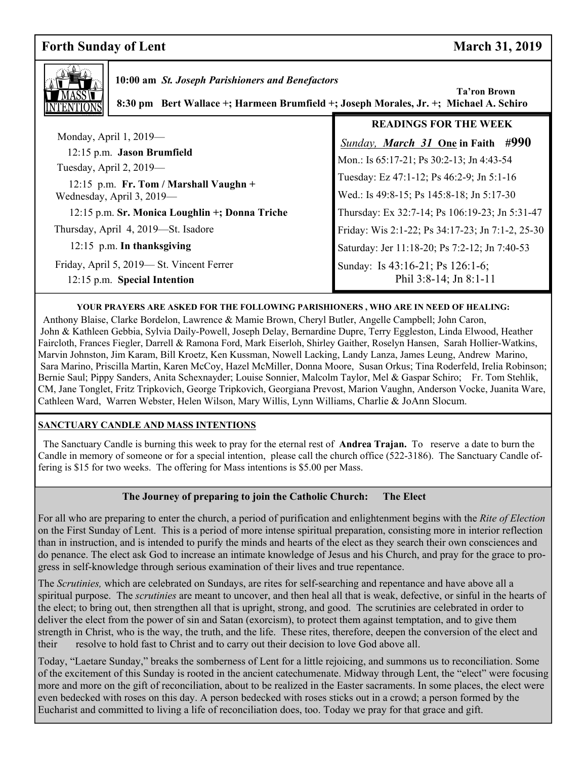# **Forth Sunday of Lent** March 31, 2019

 **Ta'ron Brown** 



 **10:00 am** *St. Joseph Parishioners and Benefactors*

 **8:30 pm Bert Wallace +; Harmeen Brumfield +; Joseph Morales, Jr. +; Michael A. Schiro**

|                                                                          | <b>READINGS FOR THE WEEK</b>                               |
|--------------------------------------------------------------------------|------------------------------------------------------------|
| Monday, April $1, 2019$ —                                                | <b>Sunday, March 31 One in Faith #990</b>                  |
| 12:15 p.m. Jason Brumfield                                               | Mon.: Is 65:17-21; Ps 30:2-13; Jn 4:43-54                  |
| Tuesday, April 2, 2019-                                                  | Tuesday: Ez 47:1-12; Ps 46:2-9; Jn 5:1-16                  |
| 12:15 p.m. Fr. Tom / Marshall Vaughn +<br>Wednesday, April 3, 2019—      | Wed.: Is 49:8-15; Ps 145:8-18; Jn 5:17-30                  |
| 12:15 p.m. Sr. Monica Loughlin +; Donna Triche                           | Thursday: Ex 32:7-14; Ps 106:19-23; Jn 5:31-47             |
| Thursday, April 4, 2019-St. Isadore                                      | Friday: Wis 2:1-22; Ps 34:17-23; Jn 7:1-2, 25-30           |
| 12:15 p.m. In thanksgiving                                               | Saturday: Jer 11:18-20; Ps 7:2-12; Jn 7:40-53              |
| Friday, April 5, 2019—St. Vincent Ferrer<br>12:15 p.m. Special Intention | Sunday: Is 43:16-21; Ps 126:1-6;<br>Phil 3:8-14; Jn 8:1-11 |

#### **YOUR PRAYERS ARE ASKED FOR THE FOLLOWING PARISHIONERS , WHO ARE IN NEED OF HEALING:**

 Anthony Blaise, Clarke Bordelon, Lawrence & Mamie Brown, Cheryl Butler, Angelle Campbell; John Caron, John & Kathleen Gebbia, Sylvia Daily-Powell, Joseph Delay, Bernardine Dupre, Terry Eggleston, Linda Elwood, Heather Faircloth, Frances Fiegler, Darrell & Ramona Ford, Mark Eiserloh, Shirley Gaither, Roselyn Hansen, Sarah Hollier-Watkins, Marvin Johnston, Jim Karam, Bill Kroetz, Ken Kussman, Nowell Lacking, Landy Lanza, James Leung, Andrew Marino, Sara Marino, Priscilla Martin, Karen McCoy, Hazel McMiller, Donna Moore, Susan Orkus; Tina Roderfeld, Irelia Robinson; Bernie Saul; Pippy Sanders, Anita Schexnayder; Louise Sonnier, Malcolm Taylor, Mel & Gaspar Schiro; Fr. Tom Stehlik, CM, Jane Tonglet, Fritz Tripkovich, George Tripkovich, Georgiana Prevost, Marion Vaughn, Anderson Vocke, Juanita Ware, Cathleen Ward, Warren Webster, Helen Wilson, Mary Willis, Lynn Williams, Charlie & JoAnn Slocum.

#### **SANCTUARY CANDLE AND MASS INTENTIONS**

 The Sanctuary Candle is burning this week to pray for the eternal rest of **Andrea Trajan.** To reserve a date to burn the Candle in memory of someone or for a special intention, please call the church office (522-3186). The Sanctuary Candle offering is \$15 for two weeks. The offering for Mass intentions is \$5.00 per Mass.

#### **The Journey of preparing to join the Catholic Church: The Elect**

For an who are preparing to enter the entirent, a period of purfication and emignement begins with the *Rite of Election*<br>on the First Sunday of Lent. This is a period of more intense spiritual preparation, consisting more For all who are preparing to enter the church, a period of purification and enlightenment begins with the *Rite of Election* than in instruction, and is intended to purify the minds and hearts of the elect as they search their own consciences and do penance. The elect ask God to increase an intimate knowledge of Jesus and his Church, and pray for the grace to progress in self-knowledge through serious examination of their lives and true repentance.

The *Scrutinies,* which are celebrated on Sundays, are rites for self-searching and repentance and have above all a spiritual purpose. The *scrutinies* are meant to uncover, and then heal all that is weak, defective, or sinful in the hearts of the elect; to bring out, then strengthen all that is upright, strong, and good. The scrutinies are celebrated in order to deliver the elect from the power of sin and Satan (exorcism), to protect them against temptation, and to give them strength in Christ, who is the way, the truth, and the life. These rites, therefore, deepen the conversion of the elect and their resolve to hold fast to Christ and to carry out their decision to love God above all.

Today, "Laetare Sunday," breaks the somberness of Lent for a little rejoicing, and summons us to reconciliation. Some of the excitement of this Sunday is rooted in the ancient catechumenate. Midway through Lent, the "elect" were focusing more and more on the gift of reconciliation, about to be realized in the Easter sacraments. In some places, the elect were even bedecked with roses on this day. A person bedecked with roses sticks out in a crowd; a person formed by the Eucharist and committed to living a life of reconciliation does, too. Today we pray for that grace and gift.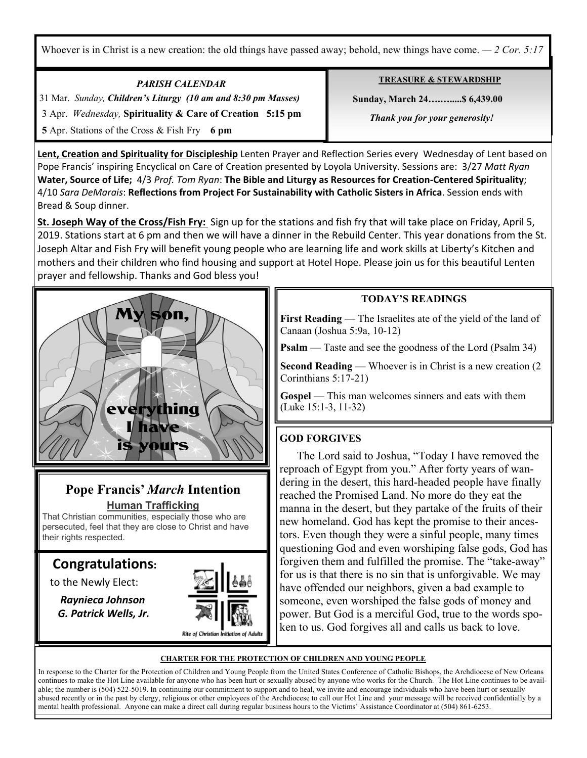Whoever is in Christ is a new creation: the old things have passed away; behold, new things have come.  $-2$  Cor. 5:17

*PARISH CALENDAR*  31 Mar. *Sunday, Children's Liturgy (10 am and 8:30 pm Masses)*  3 Apr. *Wednesday,* **Spirituality & Care of Creation 5:15 pm 5** Apr. Stations of the Cross & Fish Fry **6 pm**

Ξ

**TREASURE & STEWARDSHIP**

 **Sunday, March 24….….....\$ 6,439.00** 

 *Thank you for your generosity!* 

**Lent, Creation and Spirituality for Discipleship** Lenten Prayer and Reflection Series every Wednesday of Lent based on Pope Francis' inspiring Encyclical on Care of Creation presented by Loyola University. Sessions are: 3/27 *Matt Ryan*  **Water, Source of Life;** 4/3 *Prof. Tom Ryan*: **The Bible and Liturgy as Resources for Creation-Centered Spirituality**; 4/10 *Sara DeMarais*: **Reflections from Project For Sustainability with Catholic Sisters in Africa**. Session ends with Bread & Soup dinner.

**St. Joseph Way of the Cross/Fish Fry:** Sign up for the stations and fish fry that will take place on Friday, April 5, 2019. Stations start at 6 pm and then we will have a dinner in the Rebuild Center. This year donations from the St. Joseph Altar and Fish Fry will benefit young people who are learning life and work skills at Liberty's Kitchen and mothers and their children who find housing and support at Hotel Hope. Please join us for this beautiful Lenten prayer and fellowship. Thanks and God bless you!



### **Pope Francis'** *March* **Intention Human Trafficking**

That Christian communities, especially those who are persecuted, feel that they are close to Christ and have their rights respected.

# **Congratulations:**

to the Newly Elect:

 *Raynieca Johnson G. Patrick Wells, Jr.* 



### **TODAY'S READINGS**

**First Reading** — The Israelites ate of the yield of the land of Canaan (Joshua 5:9a, 10-12)

**Psalm** — Taste and see the goodness of the Lord (Psalm 34)

**Second Reading** — Whoever is in Christ is a new creation (2) Corinthians 5:17-21)

**Gospel** — This man welcomes sinners and eats with them (Luke 15:1-3, 11-32)

# **GOD FORGIVES**

 The Lord said to Joshua, "Today I have removed the reproach of Egypt from you." After forty years of wandering in the desert, this hard-headed people have finally reached the Promised Land. No more do they eat the manna in the desert, but they partake of the fruits of their new homeland. God has kept the promise to their ancestors. Even though they were a sinful people, many times questioning God and even worshiping false gods, God has forgiven them and fulfilled the promise. The "take-away" for us is that there is no sin that is unforgivable. We may have offended our neighbors, given a bad example to someone, even worshiped the false gods of money and power. But God is a merciful God, true to the words spoken to us. God forgives all and calls us back to love.

#### **CHARTER FOR THE PROTECTION OF CHILDREN AND YOUNG PEOPLE**

In response to the Charter for the Protection of Children and Young People from the United States Conference of Catholic Bishops, the Archdiocese of New Orleans continues to make the Hot Line available for anyone who has been hurt or sexually abused by anyone who works for the Church. The Hot Line continues to be available; the number is (504) 522-5019. In continuing our commitment to support and to heal, we invite and encourage individuals who have been hurt or sexually abused recently or in the past by clergy, religious or other employees of the Archdiocese to call our Hot Line and your message will be received confidentially by a mental health professional. Anyone can make a direct call during regular business hours to the Victims' Assistance Coordinator at (504) 861-6253.